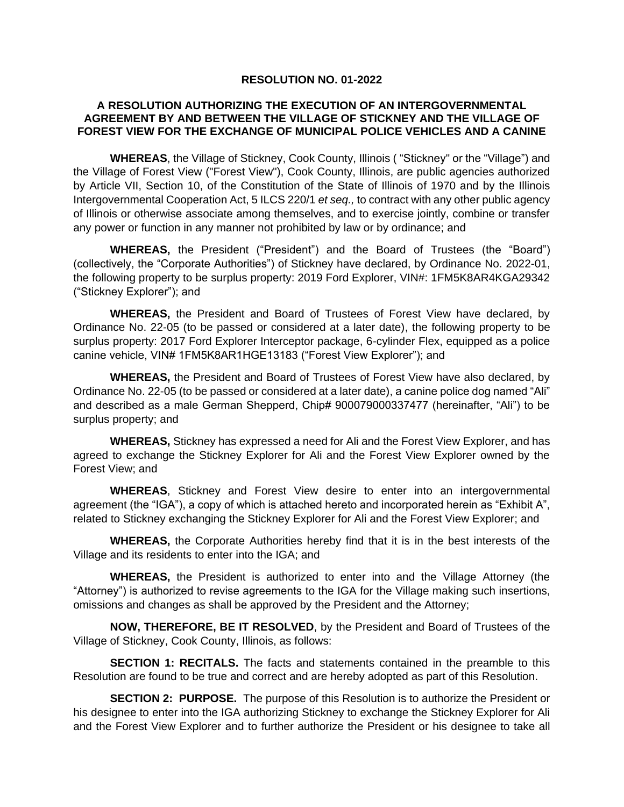## **RESOLUTION NO. 01-2022**

## **A RESOLUTION AUTHORIZING THE EXECUTION OF AN INTERGOVERNMENTAL AGREEMENT BY AND BETWEEN THE VILLAGE OF STICKNEY AND THE VILLAGE OF FOREST VIEW FOR THE EXCHANGE OF MUNICIPAL POLICE VEHICLES AND A CANINE**

**WHEREAS**, the Village of Stickney, Cook County, Illinois ( "Stickney" or the "Village") and the Village of Forest View ("Forest View"), Cook County, Illinois, are public agencies authorized by Article VII, Section 10, of the Constitution of the State of Illinois of 1970 and by the Illinois Intergovernmental Cooperation Act, 5 ILCS 220/1 *et seq.,* to contract with any other public agency of Illinois or otherwise associate among themselves, and to exercise jointly, combine or transfer any power or function in any manner not prohibited by law or by ordinance; and

**WHEREAS,** the President ("President") and the Board of Trustees (the "Board") (collectively, the "Corporate Authorities") of Stickney have declared, by Ordinance No. 2022-01, the following property to be surplus property: 2019 Ford Explorer, VIN#: 1FM5K8AR4KGA29342 ("Stickney Explorer"); and

**WHEREAS,** the President and Board of Trustees of Forest View have declared, by Ordinance No. 22-05 (to be passed or considered at a later date), the following property to be surplus property: 2017 Ford Explorer Interceptor package, 6-cylinder Flex, equipped as a police canine vehicle, VIN# 1FM5K8AR1HGE13183 ("Forest View Explorer"); and

**WHEREAS,** the President and Board of Trustees of Forest View have also declared, by Ordinance No. 22-05 (to be passed or considered at a later date), a canine police dog named "Ali" and described as a male German Shepperd, Chip# 900079000337477 (hereinafter, "Ali") to be surplus property; and

**WHEREAS,** Stickney has expressed a need for Ali and the Forest View Explorer, and has agreed to exchange the Stickney Explorer for Ali and the Forest View Explorer owned by the Forest View; and

**WHEREAS**, Stickney and Forest View desire to enter into an intergovernmental agreement (the "IGA"), a copy of which is attached hereto and incorporated herein as "Exhibit A", related to Stickney exchanging the Stickney Explorer for Ali and the Forest View Explorer; and

**WHEREAS,** the Corporate Authorities hereby find that it is in the best interests of the Village and its residents to enter into the IGA; and

**WHEREAS,** the President is authorized to enter into and the Village Attorney (the "Attorney") is authorized to revise agreements to the IGA for the Village making such insertions, omissions and changes as shall be approved by the President and the Attorney;

**NOW, THEREFORE, BE IT RESOLVED**, by the President and Board of Trustees of the Village of Stickney, Cook County, Illinois, as follows:

**SECTION 1: RECITALS.** The facts and statements contained in the preamble to this Resolution are found to be true and correct and are hereby adopted as part of this Resolution.

**SECTION 2: PURPOSE.** The purpose of this Resolution is to authorize the President or his designee to enter into the IGA authorizing Stickney to exchange the Stickney Explorer for Ali and the Forest View Explorer and to further authorize the President or his designee to take all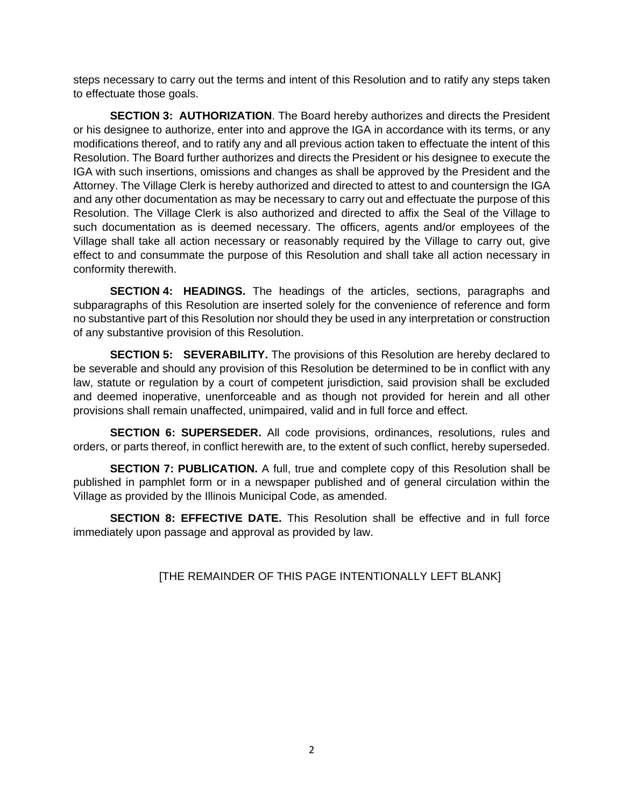steps necessary to carry out the terms and intent of this Resolution and to ratify any steps taken to effectuate those goals.

**SECTION 3: AUTHORIZATION**. The Board hereby authorizes and directs the President or his designee to authorize, enter into and approve the IGA in accordance with its terms, or any modifications thereof, and to ratify any and all previous action taken to effectuate the intent of this Resolution. The Board further authorizes and directs the President or his designee to execute the IGA with such insertions, omissions and changes as shall be approved by the President and the Attorney. The Village Clerk is hereby authorized and directed to attest to and countersign the IGA and any other documentation as may be necessary to carry out and effectuate the purpose of this Resolution. The Village Clerk is also authorized and directed to affix the Seal of the Village to such documentation as is deemed necessary. The officers, agents and/or employees of the Village shall take all action necessary or reasonably required by the Village to carry out, give effect to and consummate the purpose of this Resolution and shall take all action necessary in conformity therewith.

**SECTION 4: HEADINGS.** The headings of the articles, sections, paragraphs and subparagraphs of this Resolution are inserted solely for the convenience of reference and form no substantive part of this Resolution nor should they be used in any interpretation or construction of any substantive provision of this Resolution.

**SECTION 5: SEVERABILITY.** The provisions of this Resolution are hereby declared to be severable and should any provision of this Resolution be determined to be in conflict with any law, statute or regulation by a court of competent jurisdiction, said provision shall be excluded and deemed inoperative, unenforceable and as though not provided for herein and all other provisions shall remain unaffected, unimpaired, valid and in full force and effect.

**SECTION 6: SUPERSEDER.** All code provisions, ordinances, resolutions, rules and orders, or parts thereof, in conflict herewith are, to the extent of such conflict, hereby superseded.

**SECTION 7: PUBLICATION.** A full, true and complete copy of this Resolution shall be published in pamphlet form or in a newspaper published and of general circulation within the Village as provided by the Illinois Municipal Code, as amended.

**SECTION 8: EFFECTIVE DATE.** This Resolution shall be effective and in full force immediately upon passage and approval as provided by law.

## [THE REMAINDER OF THIS PAGE INTENTIONALLY LEFT BLANK]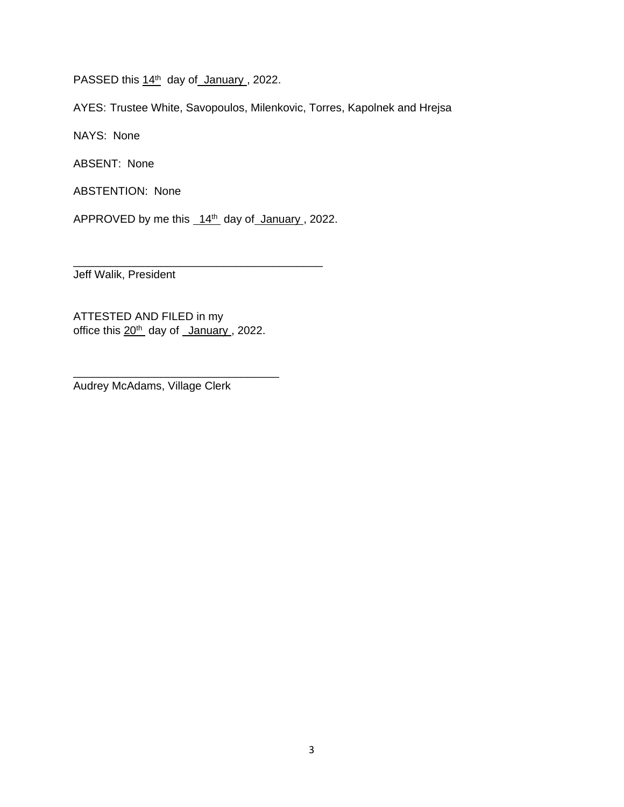PASSED this 14<sup>th</sup> day of January, 2022.

AYES: Trustee White, Savopoulos, Milenkovic, Torres, Kapolnek and Hrejsa

NAYS: None

ABSENT: None

ABSTENTION: None

APPROVED by me this  $14<sup>th</sup>$  day of January, 2022.

\_\_\_\_\_\_\_\_\_\_\_\_\_\_\_\_\_\_\_\_\_\_\_\_\_\_\_\_\_\_\_\_\_\_\_\_\_\_\_\_

Jeff Walik, President

ATTESTED AND FILED in my office this 20<sup>th</sup> day of January, 2022.

\_\_\_\_\_\_\_\_\_\_\_\_\_\_\_\_\_\_\_\_\_\_\_\_\_\_\_\_\_\_\_\_\_

Audrey McAdams, Village Clerk